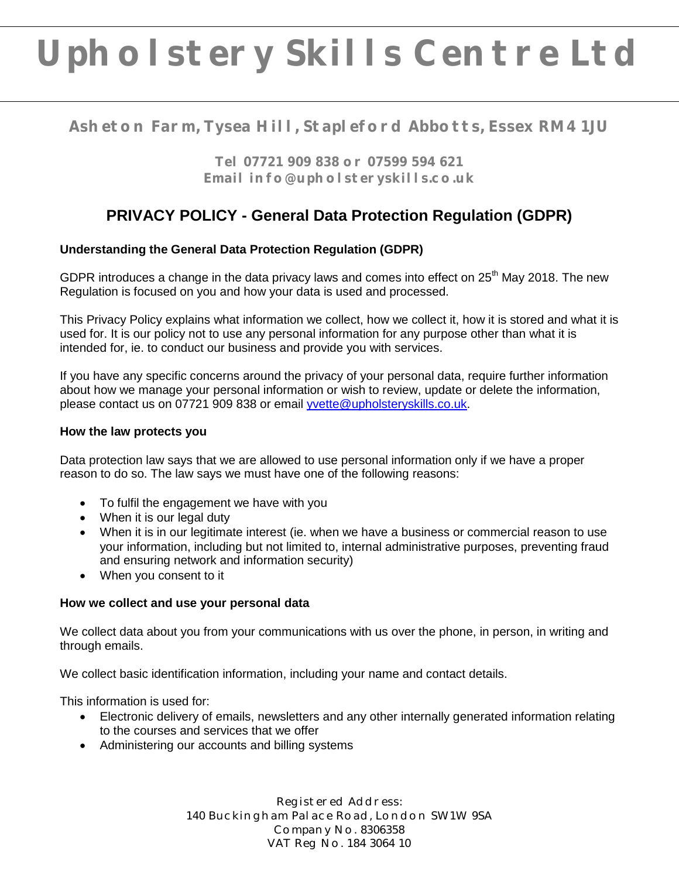# **Upholstery Skills Centre Ltd**

## **Asheton Farm, Tysea Hill, Stapleford Abbotts, Essex RM4 1JU**

**Tel 07721 909 838 or 07599 594 621 Email info@upholsteryskills.co.uk**

## **PRIVACY POLICY - General Data Protection Regulation (GDPR)**

### **Understanding the General Data Protection Regulation (GDPR)**

GDPR introduces a change in the data privacy laws and comes into effect on  $25<sup>th</sup>$  May 2018. The new Regulation is focused on you and how your data is used and processed.

This Privacy Policy explains what information we collect, how we collect it, how it is stored and what it is used for. It is our policy not to use any personal information for any purpose other than what it is intended for, ie. to conduct our business and provide you with services.

If you have any specific concerns around the privacy of your personal data, require further information about how we manage your personal information or wish to review, update or delete the information, please contact us on 07721 909 838 or email [yvette@upholsteryskills.co.uk.](mailto:yvette@upholsteryskills.co.uk)

#### **How the law protects you**

Data protection law says that we are allowed to use personal information only if we have a proper reason to do so. The law says we must have one of the following reasons:

- To fulfil the engagement we have with you
- When it is our legal duty
- When it is in our legitimate interest (ie. when we have a business or commercial reason to use your information, including but not limited to, internal administrative purposes, preventing fraud and ensuring network and information security)
- When you consent to it

#### **How we collect and use your personal data**

We collect data about you from your communications with us over the phone, in person, in writing and through emails.

We collect basic identification information, including your name and contact details.

This information is used for:

- Electronic delivery of emails, newsletters and any other internally generated information relating to the courses and services that we offer
- Administering our accounts and billing systems

Registered Address: 140 Buckingham Palace Road, London SW1W 9SA Company No. 8306358 VAT Reg No. 184 3064 10